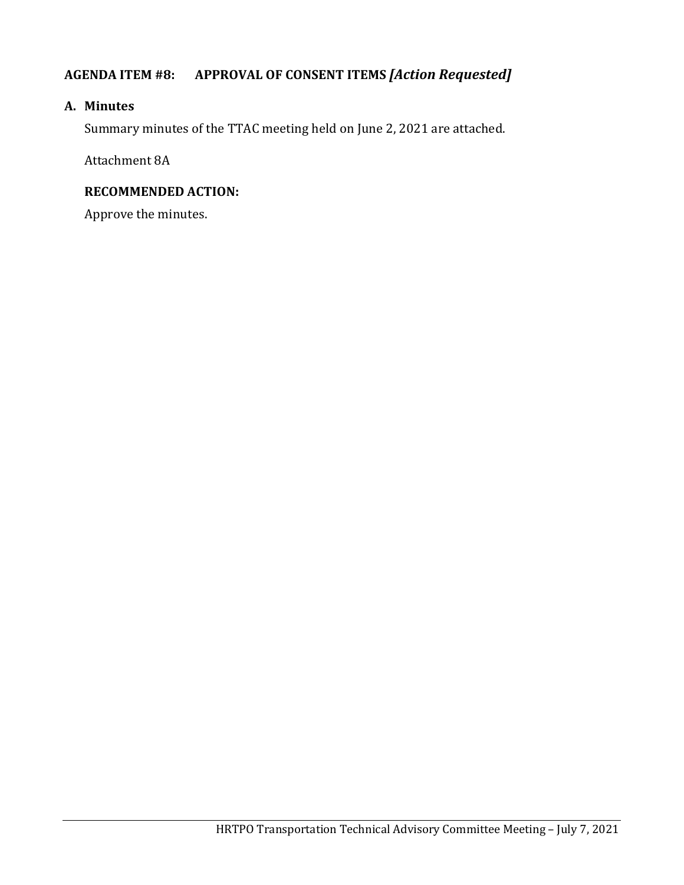# **AGENDA ITEM #8: APPROVAL OF CONSENT ITEMS** *[Action Requested]*

#### **A. Minutes**

Summary minutes of the TTAC meeting held on June 2, 2021 are attached.

Attachment 8A

#### **RECOMMENDED ACTION:**

Approve the minutes.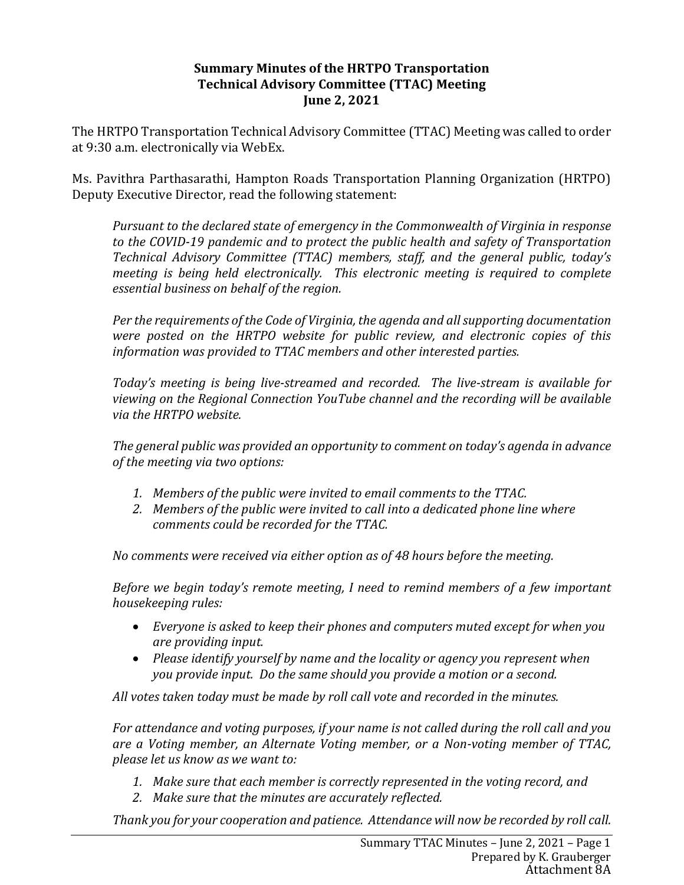#### **Summary Minutes of the HRTPO Transportation Technical Advisory Committee (TTAC) Meeting June 2, 2021**

The HRTPO Transportation Technical Advisory Committee (TTAC) Meeting was called to order at 9:30 a.m. electronically via WebEx.

Ms. Pavithra Parthasarathi, Hampton Roads Transportation Planning Organization (HRTPO) Deputy Executive Director, read the following statement:

*Pursuant to the declared state of emergency in the Commonwealth of Virginia in response to the COVID-19 pandemic and to protect the public health and safety of Transportation Technical Advisory Committee (TTAC) members, staff, and the general public, today's meeting is being held electronically. This electronic meeting is required to complete essential business on behalf of the region.*

*Per the requirements of the Code of Virginia, the agenda and all supporting documentation were posted on the HRTPO website for public review, and electronic copies of this information was provided to TTAC members and other interested parties.*

*Today's meeting is being live-streamed and recorded. The live-stream is available for viewing on the Regional Connection YouTube channel and the recording will be available via the HRTPO website.*

*The general public was provided an opportunity to comment on today's agenda in advance of the meeting via two options:*

- *1. Members of the public were invited to email comments to the TTAC.*
- *2. Members of the public were invited to call into a dedicated phone line where comments could be recorded for the TTAC.*

*No comments were received via either option as of 48 hours before the meeting.*

*Before we begin today's remote meeting, I need to remind members of a few important housekeeping rules:*

- *Everyone is asked to keep their phones and computers muted except for when you are providing input.*
- *Please identify yourself by name and the locality or agency you represent when you provide input. Do the same should you provide a motion or a second.*

*All votes taken today must be made by roll call vote and recorded in the minutes.*

*For attendance and voting purposes, if your name is not called during the roll call and you are a Voting member, an Alternate Voting member, or a Non-voting member of TTAC, please let us know as we want to:*

- *1. Make sure that each member is correctly represented in the voting record, and*
- *2. Make sure that the minutes are accurately reflected.*

*Thank you for your cooperation and patience. Attendance will now be recorded by roll call.*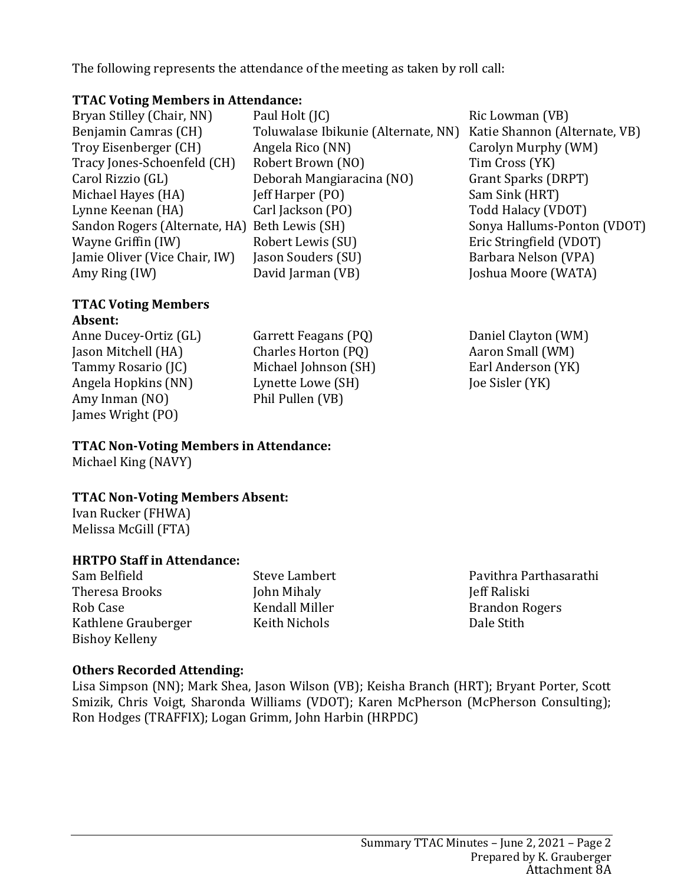The following represents the attendance of the meeting as taken by roll call:

#### **TTAC Voting Members in Attendance:**

Bryan Stilley (Chair, NN) Benjamin Camras (CH) Troy Eisenberger (CH) Tracy Jones-Schoenfeld (CH) Carol Rizzio (GL) Michael Hayes (HA) Lynne Keenan (HA) Sandon Rogers (Alternate, HA) Beth Lewis (SH) Wayne Griffin (IW) Jamie Oliver (Vice Chair, IW) Amy Ring (IW)

#### **TTAC Voting Members Absent:**

Anne Ducey-Ortiz (GL) Jason Mitchell (HA) Tammy Rosario (JC) Angela Hopkins (NN) Amy Inman (NO) James Wright (PO)

Garrett Feagans (PQ) Charles Horton (PQ) Michael Johnson (SH) Lynette Lowe (SH) Phil Pullen (VB)

**TTAC Non-Voting Members in Attendance:**

Michael King (NAVY)

### **TTAC Non-Voting Members Absent:**

Ivan Rucker (FHWA) Melissa McGill (FTA)

### **HRTPO Staff in Attendance:**

Sam Belfield Theresa Brooks Rob Case Kathlene Grauberger Bishoy Kelleny

Steve Lambert John Mihaly Kendall Miller Keith Nichols

Pavithra Parthasarathi Jeff Raliski Brandon Rogers Dale Stith

### **Others Recorded Attending:**

Lisa Simpson (NN); Mark Shea, Jason Wilson (VB); Keisha Branch (HRT); Bryant Porter, Scott Smizik, Chris Voigt, Sharonda Williams (VDOT); Karen McPherson (McPherson Consulting); Ron Hodges (TRAFFIX); Logan Grimm, John Harbin (HRPDC)

#### Summary TTAC Minutes – June 2, 2021 – Page 2 Prepared by K. Grauberger Attachment 8A

Paul Holt (JC) Toluwalase Ibikunie (Alternate, NN) Katie Shannon (Alternate, VB) Angela Rico (NN) Robert Brown (NO) Deborah Mangiaracina (NO) Jeff Harper (PO) Carl Jackson (PO) Robert Lewis (SU) Jason Souders (SU) David Jarman (VB) Ric Lowman (VB) Carolyn Murphy (WM) Tim Cross (YK) Grant Sparks (DRPT) Sam Sink (HRT) Todd Halacy (VDOT) Sonya Hallums-Ponton (VDOT) Eric Stringfield (VDOT) Barbara Nelson (VPA) Joshua Moore (WATA)

> Daniel Clayton (WM) Aaron Small (WM) Earl Anderson (YK) Joe Sisler (YK)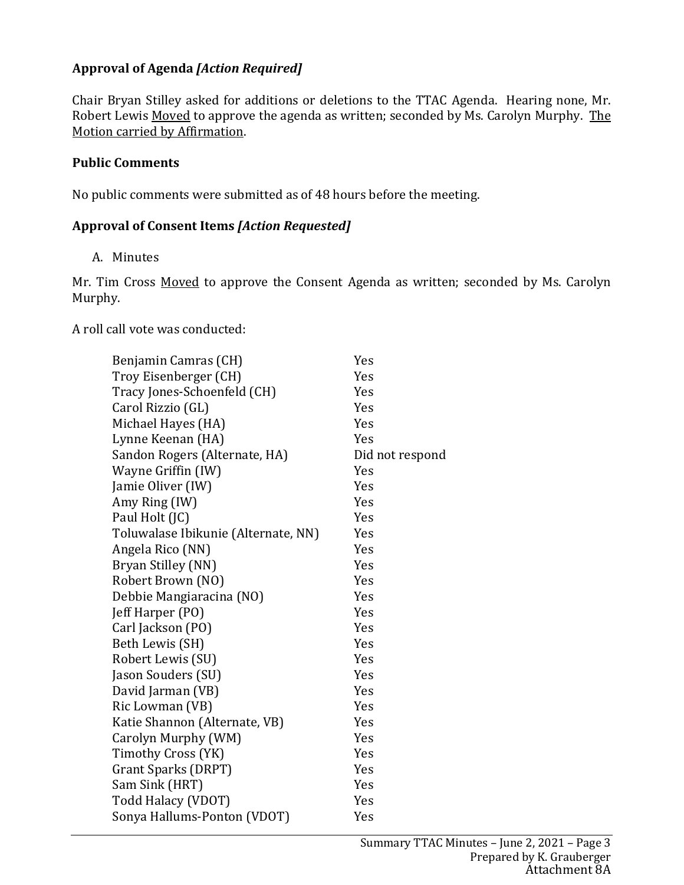## **Approval of Agenda** *[Action Required]*

Chair Bryan Stilley asked for additions or deletions to the TTAC Agenda. Hearing none, Mr. Robert Lewis Moved to approve the agenda as written; seconded by Ms. Carolyn Murphy. The Motion carried by Affirmation.

#### **Public Comments**

No public comments were submitted as of 48 hours before the meeting.

#### **Approval of Consent Items** *[Action Requested]*

A. Minutes

Mr. Tim Cross Moved to approve the Consent Agenda as written; seconded by Ms. Carolyn Murphy.

A roll call vote was conducted:

| Benjamin Camras (CH)                | Yes             |
|-------------------------------------|-----------------|
| Troy Eisenberger (CH)               | Yes             |
| Tracy Jones-Schoenfeld (CH)         | Yes             |
| Carol Rizzio (GL)                   | Yes             |
| Michael Hayes (HA)                  | Yes             |
| Lynne Keenan (HA)                   | Yes             |
| Sandon Rogers (Alternate, HA)       | Did not respond |
| Wayne Griffin (IW)                  | Yes             |
| Jamie Oliver (IW)                   | Yes             |
| Amy Ring (IW)                       | Yes             |
| Paul Holt (JC)                      | Yes             |
| Toluwalase Ibikunie (Alternate, NN) | Yes             |
| Angela Rico (NN)                    | Yes             |
| Bryan Stilley (NN)                  | Yes             |
| Robert Brown (NO)                   | Yes             |
| Debbie Mangiaracina (NO)            | Yes             |
| Jeff Harper (PO)                    | Yes             |
| Carl Jackson (PO)                   | Yes             |
| Beth Lewis (SH)                     | Yes             |
| Robert Lewis (SU)                   | Yes             |
| Jason Souders (SU)                  | Yes             |
| David Jarman (VB)                   | Yes             |
| Ric Lowman (VB)                     | Yes             |
| Katie Shannon (Alternate, VB)       | Yes             |
| Carolyn Murphy (WM)                 | Yes             |
| Timothy Cross (YK)                  | Yes             |
| Grant Sparks (DRPT)                 | Yes             |
| Sam Sink (HRT)                      | Yes             |
| Todd Halacy (VDOT)                  | Yes             |
| Sonya Hallums-Ponton (VDOT)         | Yes             |
|                                     |                 |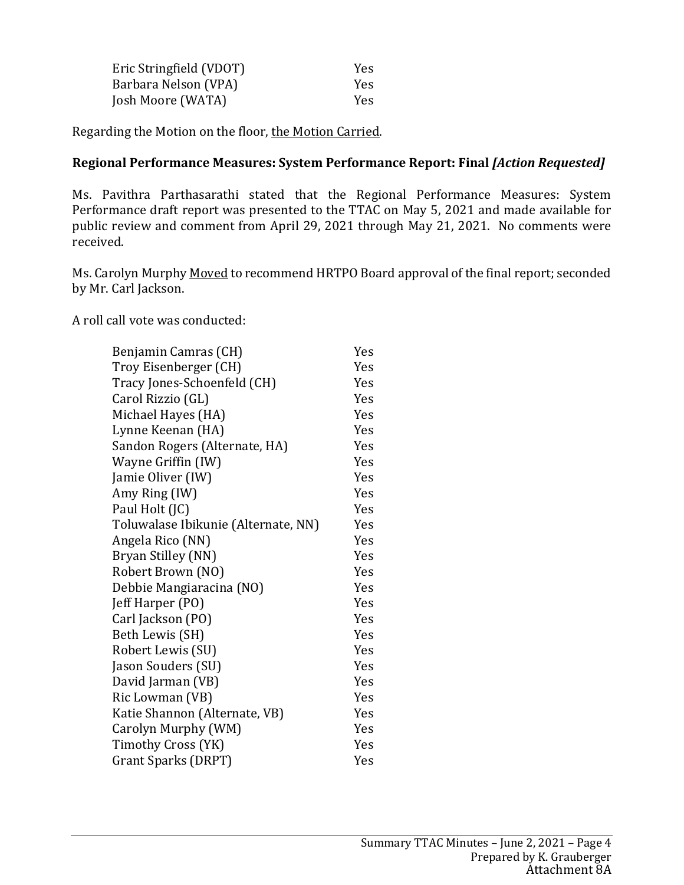| Eric Stringfield (VDOT) | <b>Yes</b> |
|-------------------------|------------|
| Barbara Nelson (VPA)    | <b>Yes</b> |
| Josh Moore (WATA)       | <b>Yes</b> |

Regarding the Motion on the floor, the Motion Carried.

#### **Regional Performance Measures: System Performance Report: Final** *[Action Requested]*

Ms. Pavithra Parthasarathi stated that the Regional Performance Measures: System Performance draft report was presented to the TTAC on May 5, 2021 and made available for public review and comment from April 29, 2021 through May 21, 2021. No comments were received.

Ms. Carolyn Murphy Moved to recommend HRTPO Board approval of the final report; seconded by Mr. Carl Jackson.

A roll call vote was conducted:

| Benjamin Camras (CH)                | Yes |
|-------------------------------------|-----|
| Troy Eisenberger (CH)               | Yes |
| Tracy Jones-Schoenfeld (CH)         | Yes |
| Carol Rizzio (GL)                   | Yes |
| Michael Hayes (HA)                  | Yes |
| Lynne Keenan (HA)                   | Yes |
| Sandon Rogers (Alternate, HA)       | Yes |
| Wayne Griffin (IW)                  | Yes |
| Jamie Oliver (IW)                   | Yes |
| Amy Ring (IW)                       | Yes |
| Paul Holt (JC)                      | Yes |
| Toluwalase Ibikunie (Alternate, NN) | Yes |
| Angela Rico (NN)                    | Yes |
| Bryan Stilley (NN)                  | Yes |
| Robert Brown (NO)                   | Yes |
| Debbie Mangiaracina (NO)            | Yes |
| Jeff Harper (PO)                    | Yes |
| Carl Jackson (PO)                   | Yes |
| Beth Lewis (SH)                     | Yes |
| Robert Lewis (SU)                   | Yes |
| Jason Souders (SU)                  | Yes |
| David Jarman (VB)                   | Yes |
| Ric Lowman (VB)                     | Yes |
| Katie Shannon (Alternate, VB)       | Yes |
| Carolyn Murphy (WM)                 | Yes |
| Timothy Cross (YK)                  | Yes |
| Grant Sparks (DRPT)                 | Yes |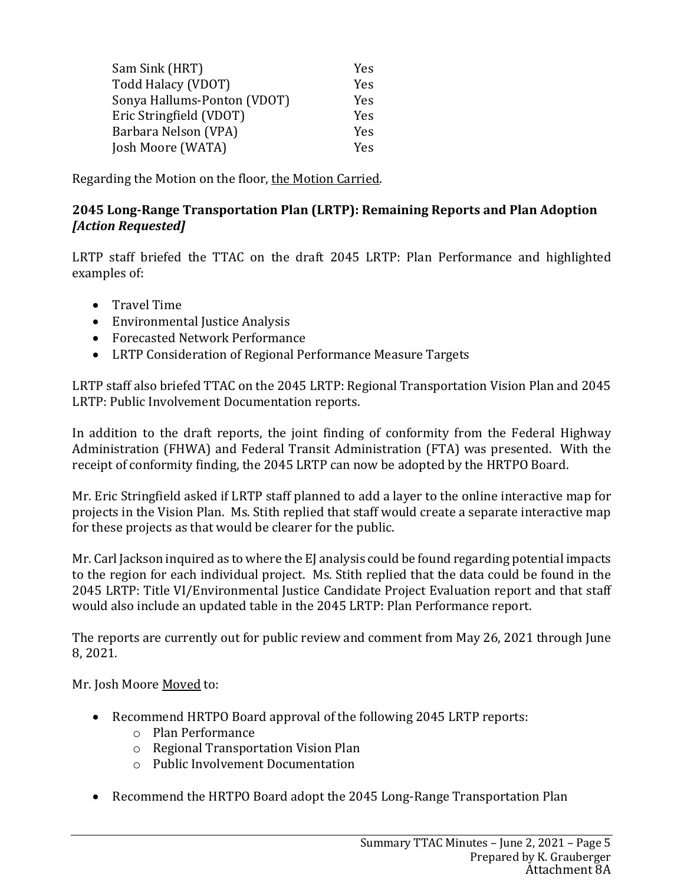| Sam Sink (HRT)              | <b>Yes</b> |
|-----------------------------|------------|
| Todd Halacy (VDOT)          | Yes        |
| Sonya Hallums-Ponton (VDOT) | Yes        |
| Eric Stringfield (VDOT)     | Yes        |
| Barbara Nelson (VPA)        | Yes        |
| Josh Moore (WATA)           | Yes        |

Regarding the Motion on the floor, the Motion Carried.

#### **2045 Long-Range Transportation Plan (LRTP): Remaining Reports and Plan Adoption** *[Action Requested]*

LRTP staff briefed the TTAC on the draft 2045 LRTP: Plan Performance and highlighted examples of:

- Travel Time
- Environmental Justice Analysis
- Forecasted Network Performance
- LRTP Consideration of Regional Performance Measure Targets

LRTP staff also briefed TTAC on the 2045 LRTP: Regional Transportation Vision Plan and 2045 LRTP: Public Involvement Documentation reports.

In addition to the draft reports, the joint finding of conformity from the Federal Highway Administration (FHWA) and Federal Transit Administration (FTA) was presented. With the receipt of conformity finding, the 2045 LRTP can now be adopted by the HRTPO Board.

Mr. Eric Stringfield asked if LRTP staff planned to add a layer to the online interactive map for projects in the Vision Plan. Ms. Stith replied that staff would create a separate interactive map for these projects as that would be clearer for the public.

Mr. Carl Jackson inquired as to where the EJ analysis could be found regarding potential impacts to the region for each individual project. Ms. Stith replied that the data could be found in the 2045 LRTP: Title VI/Environmental Justice Candidate Project Evaluation report and that staff would also include an updated table in the 2045 LRTP: Plan Performance report.

The reports are currently out for public review and comment from May 26, 2021 through June 8, 2021.

Mr. Josh Moore Moved to:

- Recommend HRTPO Board approval of the following 2045 LRTP reports:
	- o Plan Performance
	- o Regional Transportation Vision Plan
	- o Public Involvement Documentation
- Recommend the HRTPO Board adopt the 2045 Long-Range Transportation Plan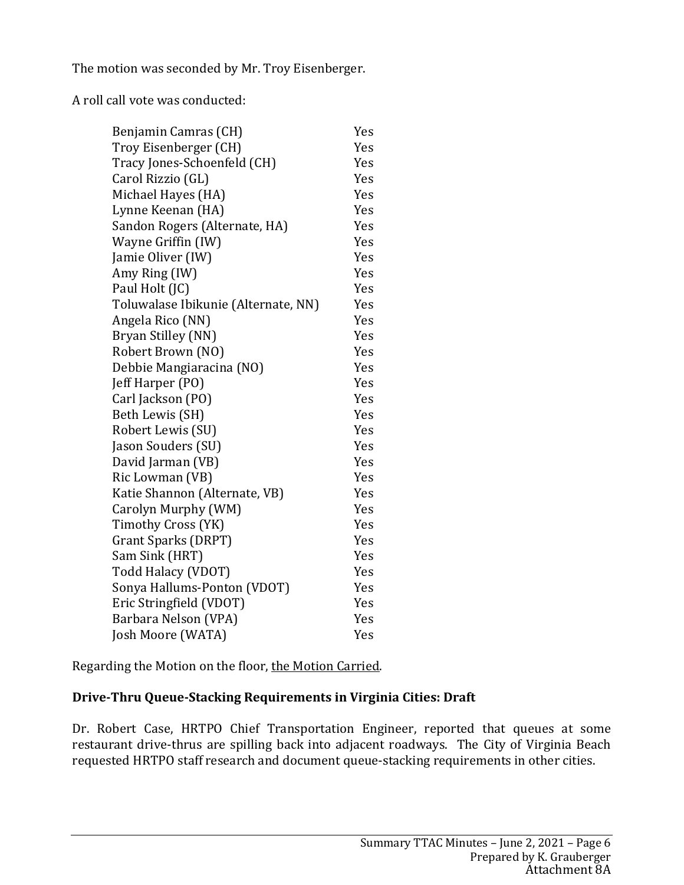The motion was seconded by Mr. Troy Eisenberger.

A roll call vote was conducted:

| Benjamin Camras (CH)                | Yes        |
|-------------------------------------|------------|
| Troy Eisenberger (CH)               | Yes        |
| Tracy Jones-Schoenfeld (CH)         | Yes        |
| Carol Rizzio (GL)                   | Yes        |
| Michael Hayes (HA)                  | Yes        |
| Lynne Keenan (HA)                   | Yes        |
| Sandon Rogers (Alternate, HA)       | Yes        |
| Wayne Griffin (IW)                  | Yes        |
| Jamie Oliver (IW)                   | Yes        |
| Amy Ring (IW)                       | Yes        |
| Paul Holt (JC)                      | Yes        |
| Toluwalase Ibikunie (Alternate, NN) | Yes        |
| Angela Rico (NN)                    | Yes        |
| Bryan Stilley (NN)                  | Yes        |
| Robert Brown (NO)                   | Yes        |
| Debbie Mangiaracina (NO)            | Yes        |
| Jeff Harper (PO)                    | <b>Yes</b> |
| Carl Jackson (PO)                   | Yes        |
| Beth Lewis (SH)                     | Yes        |
| Robert Lewis (SU)                   | Yes        |
| Jason Souders (SU)                  | Yes        |
| David Jarman (VB)                   | Yes        |
| Ric Lowman (VB)                     | Yes        |
| Katie Shannon (Alternate, VB)       | Yes        |
| Carolyn Murphy (WM)                 | Yes        |
| Timothy Cross (YK)                  | Yes        |
| <b>Grant Sparks (DRPT)</b>          | Yes        |
| Sam Sink (HRT)                      | Yes        |
| Todd Halacy (VDOT)                  | Yes        |
| Sonya Hallums-Ponton (VDOT)         | Yes        |
| Eric Stringfield (VDOT)             | Yes        |
| Barbara Nelson (VPA)                | Yes        |
| Josh Moore (WATA)                   | Yes        |

Regarding the Motion on the floor, the Motion Carried.

# **Drive-Thru Queue-Stacking Requirements in Virginia Cities: Draft**

Dr. Robert Case, HRTPO Chief Transportation Engineer, reported that queues at some restaurant drive-thrus are spilling back into adjacent roadways. The City of Virginia Beach requested HRTPO staff research and document queue-stacking requirements in other cities.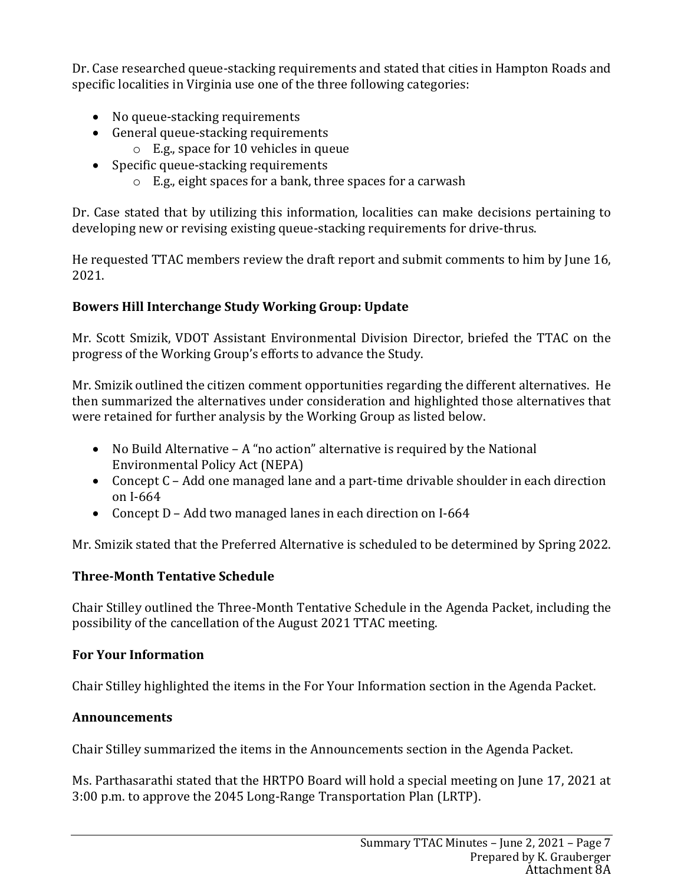Dr. Case researched queue-stacking requirements and stated that cities in Hampton Roads and specific localities in Virginia use one of the three following categories:

- No queue-stacking requirements
- General queue-stacking requirements
	- o E.g., space for 10 vehicles in queue
- Specific queue-stacking requirements
	- o E.g., eight spaces for a bank, three spaces for a carwash

Dr. Case stated that by utilizing this information, localities can make decisions pertaining to developing new or revising existing queue-stacking requirements for drive-thrus.

He requested TTAC members review the draft report and submit comments to him by June 16, 2021.

# **Bowers Hill Interchange Study Working Group: Update**

Mr. Scott Smizik, VDOT Assistant Environmental Division Director, briefed the TTAC on the progress of the Working Group's efforts to advance the Study.

Mr. Smizik outlined the citizen comment opportunities regarding the different alternatives. He then summarized the alternatives under consideration and highlighted those alternatives that were retained for further analysis by the Working Group as listed below.

- No Build Alternative A "no action" alternative is required by the National Environmental Policy Act (NEPA)
- Concept C Add one managed lane and a part-time drivable shoulder in each direction on I-664
- Concept D Add two managed lanes in each direction on I-664

Mr. Smizik stated that the Preferred Alternative is scheduled to be determined by Spring 2022.

# **Three-Month Tentative Schedule**

Chair Stilley outlined the Three-Month Tentative Schedule in the Agenda Packet, including the possibility of the cancellation of the August 2021 TTAC meeting.

# **For Your Information**

Chair Stilley highlighted the items in the For Your Information section in the Agenda Packet.

# **Announcements**

Chair Stilley summarized the items in the Announcements section in the Agenda Packet.

Ms. Parthasarathi stated that the HRTPO Board will hold a special meeting on June 17, 2021 at 3:00 p.m. to approve the 2045 Long-Range Transportation Plan (LRTP).